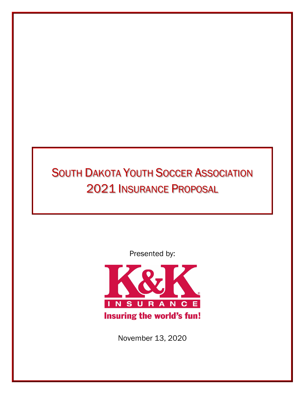# **SOUTH DAKOTA YOUTH SOCCER ASSOCIATION** 2021 INSURANCE PROPOSAL

Presented by:



November 13, 2020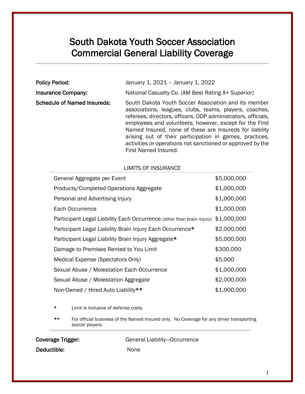### South Dakota Youth Soccer Association Commercial General Liability Coverage

| <b>Policy Period:</b>              | January 1, 2021 - January 1, 2022                                                                                                                                                                                                                                                                                                                                                                                                                      |  |  |
|------------------------------------|--------------------------------------------------------------------------------------------------------------------------------------------------------------------------------------------------------------------------------------------------------------------------------------------------------------------------------------------------------------------------------------------------------------------------------------------------------|--|--|
| <b>Insurance Company:</b>          | National Casualty Co. (AM Best Rating A+ Superior)                                                                                                                                                                                                                                                                                                                                                                                                     |  |  |
| <b>Schedule of Named Insureds:</b> | South Dakota Youth Soccer Association and its member<br>associations, leagues, clubs, teams, players, coaches,<br>referees, directors, officers, ODP administrators, officials,<br>employees and volunteers; however, except for the First<br>Named Insured, none of these are Insureds for liability<br>arising out of their participation in games, practices,<br>activities or operations not sanctioned or approved by the<br>First Named Insured. |  |  |

### LIMITS OF INSURANCE

| General Aggregate per Event                                           | \$5,000,000 |
|-----------------------------------------------------------------------|-------------|
| Products/Completed Operations Aggregate                               | \$1,000,000 |
| Personal and Advertising Injury                                       | \$1,000,000 |
| Each Occurrence                                                       | \$1,000,000 |
| Participant Legal Liability Each Occurrence (other than brain injury) | \$1,000,000 |
| Participant Legal Liability Brain Injury Each Occurrence*             | \$2,000,000 |
| Participant Legal Liability Brain Injury Aggregate*                   | \$5,000,000 |
| Damage to Premises Rented to You Limit                                | \$300,000   |
| Medical Expense (Spectators Only)                                     | \$5,000     |
| Sexual Abuse / Molestation Each Occurrence                            | \$1,000,000 |
| Sexual Abuse / Molestation Aggregate                                  | \$2,000,000 |
| Non-Owned / Hired Auto Liability**                                    | \$1,000,000 |

Limit is inclusive of defense costs.

\*\* For official business of the Named Insured only. No Coverage for any driver transporting soccer players.

| Coverage Trigger: | General Liability-Occurrence |
|-------------------|------------------------------|
| Deductible:       | None                         |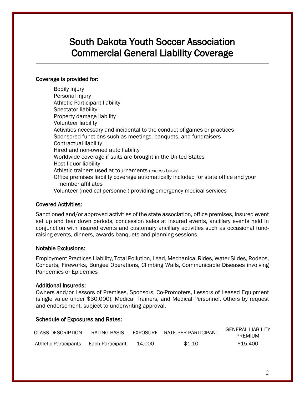### South Dakota Youth Soccer Association Commercial General Liability Coverage

#### Coverage is provided for:

Bodily injury Personal injury Athletic Participant liability Spectator liability Property damage liability Volunteer liability Activities necessary and incidental to the conduct of games or practices Sponsored functions such as meetings, banquets, and fundraisers Contractual liability Hired and non-owned auto liability Worldwide coverage if suits are brought in the United States Host liquor liability Athletic trainers used at tournaments (excess basis) Office premises liability coverage automatically included for state office and your member affiliates Volunteer (medical personnel) providing emergency medical services

#### Covered Activities:

Sanctioned and/or approved activities of the state association, office premises, insured event set up and tear down periods, concession sales at insured events, ancillary events held in conjunction with insured events and customary ancillary activities such as occasional fundraising events, dinners, awards banquets and planning sessions.

#### Notable Exclusions:

Employment Practices Liability, Total Pollution, Lead, Mechanical Rides, Water Slides, Rodeos, Concerts, Fireworks, Bungee Operations, Climbing Walls, Communicable Diseases involving Pandemics or Epidemics

#### Additional Insureds:

Owners and/or Lessors of Premises, Sponsors, Co-Promoters, Lessors of Leased Equipment (single value under \$30,000), Medical Trainers, and Medical Personnel. Others by request and endorsement, subject to underwriting approval.

#### Schedule of Exposures and Rates:

| <b>CLASS DESCRIPTION</b> | RATING BASIS     |        | EXPOSURE RATE PER PARTICIPANT | <b>GENERAL LIABILITY</b><br>PREMIUM |
|--------------------------|------------------|--------|-------------------------------|-------------------------------------|
| Athletic Participants    | Each Participant | 14.000 | \$1.10                        | \$15,400                            |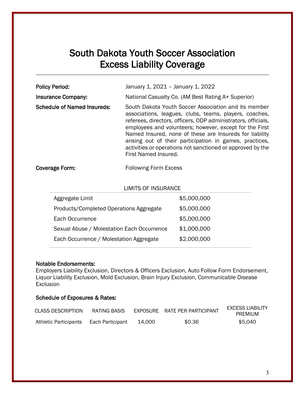### South Dakota Youth Soccer Association Excess Liability Coverage

| <b>Policy Period:</b>              | January 1, 2021 - January 1, 2022                                                                                                                                                                                                                                                                                                                                                                                                                      |
|------------------------------------|--------------------------------------------------------------------------------------------------------------------------------------------------------------------------------------------------------------------------------------------------------------------------------------------------------------------------------------------------------------------------------------------------------------------------------------------------------|
| <b>Insurance Company:</b>          | National Casualty Co. (AM Best Rating A+ Superior)                                                                                                                                                                                                                                                                                                                                                                                                     |
| <b>Schedule of Named Insureds:</b> | South Dakota Youth Soccer Association and its member<br>associations, leagues, clubs, teams, players, coaches,<br>referees, directors, officers, ODP administrators, officials,<br>employees and volunteers; however, except for the First<br>Named Insured, none of these are Insureds for liability<br>arising out of their participation in games, practices,<br>activities or operations not sanctioned or approved by the<br>First Named Insured. |
| Coverage Form:                     | <b>Following Form Excess</b>                                                                                                                                                                                                                                                                                                                                                                                                                           |

| <b>LIMITS OF INSURANCE</b> |  |  |  |
|----------------------------|--|--|--|
| \$5,000,000                |  |  |  |
| \$5,000,000                |  |  |  |
| \$5,000,000                |  |  |  |
| \$1,000,000                |  |  |  |
| \$2,000,000                |  |  |  |
|                            |  |  |  |

#### Notable Endorsements:

Employers Liability Exclusion, Directors & Officers Exclusion, Auto Follow Form Endorsement, Liquor Liability Exclusion, Mold Exclusion, Brain Injury Exclusion, Communicable Disease Exclusion

### Schedule of Exposures & Rates:

| <b>CLASS DESCRIPTION</b> | RATING BASIS     |        | EXPOSURE RATE PER PARTICIPANT | <b>EXCESS LIABILITY</b><br>PREMIUM |
|--------------------------|------------------|--------|-------------------------------|------------------------------------|
| Athletic Participants    | Each Participant | 14.000 | \$0.36                        | \$5,040                            |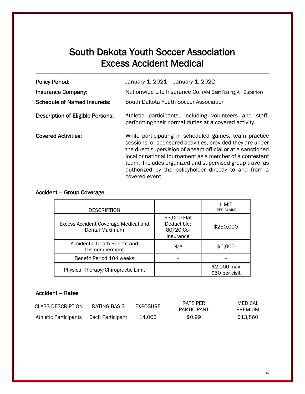### South Dakota Youth Soccer Association Excess Accident Medical

| <b>Policy Period:</b>                   | January 1, 2021 - January 1, 2022                                                                                                                                                                                                                                                                                                                                                     |  |  |
|-----------------------------------------|---------------------------------------------------------------------------------------------------------------------------------------------------------------------------------------------------------------------------------------------------------------------------------------------------------------------------------------------------------------------------------------|--|--|
| <b>Insurance Company:</b>               | Nationwide Life Insurance Co. (AM Best Rating A+ Superior)                                                                                                                                                                                                                                                                                                                            |  |  |
| <b>Schedule of Named Insureds:</b>      | South Dakota Youth Soccer Association                                                                                                                                                                                                                                                                                                                                                 |  |  |
| <b>Description of Eligible Persons:</b> | Athletic participants, including volunteers and staff,<br>performing their normal duties at a covered activity.                                                                                                                                                                                                                                                                       |  |  |
| <b>Covered Activities:</b>              | While participating in scheduled games, team practice<br>sessions, or sponsored activities, provided they are under<br>the direct supervision of a team official or at a sanctioned<br>local or national tournament as a member of a contestant<br>team. Includes organized and supervised group travel as<br>authorized by the policyholder directly to and from a<br>covered event. |  |  |

### Accident – Group Coverage

| <b>DESCRIPTION</b>                                            |                                                       | LIMIT<br>(PER CLAIM)          |
|---------------------------------------------------------------|-------------------------------------------------------|-------------------------------|
| <b>Excess Accident Coverage Medical and</b><br>Dental Maximum | \$3,000 Flat<br>Deductible;<br>80/20 Co-<br>Insurance | \$250,000                     |
| Accidental Death Benefit and<br>Dismemberment                 | N/A                                                   | \$5,000                       |
| Benefit Period 104 weeks                                      |                                                       |                               |
| Physical Therapy/Chiropractic Limit                           |                                                       | \$2,000 max<br>\$50 per visit |

### Accident – Rates

| <b>CLASS DESCRIPTION</b> | RATING BASIS     | EXPOSURE | RATE PER<br>PARTICIPANT | MEDICAL<br>PREMIUM |
|--------------------------|------------------|----------|-------------------------|--------------------|
| Athletic Participants    | Each Participant | 14.000   | \$0.99                  | \$13,860           |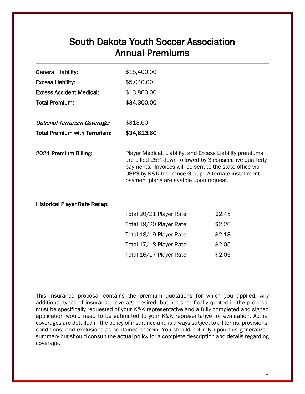### South Dakota Youth Soccer Association Annual Premiums

| <b>General Liability:</b>            | \$15,400.00                                                                                                                                                                                                                                                                     |        |  |
|--------------------------------------|---------------------------------------------------------------------------------------------------------------------------------------------------------------------------------------------------------------------------------------------------------------------------------|--------|--|
| <b>Excess Liability:</b>             | \$5,040.00                                                                                                                                                                                                                                                                      |        |  |
| <b>Excess Accident Medical:</b>      | \$13,860.00                                                                                                                                                                                                                                                                     |        |  |
| <b>Total Premium:</b>                | \$34,300.00                                                                                                                                                                                                                                                                     |        |  |
| <b>Optional Terrorism Coverage:</b>  | \$313.60                                                                                                                                                                                                                                                                        |        |  |
| <b>Total Premium with Terrorism:</b> | \$34,613.60                                                                                                                                                                                                                                                                     |        |  |
| 2021 Premium Billing:                | Player Medical, Liability, and Excess Liability premiums<br>are billed 25% down followed by 3 consecutive quarterly<br>payments. Invoices will be sent to the state office via<br>USPS by K&K Insurance Group. Alternate installment<br>payment plans are avaible upon request. |        |  |
| <b>Historical Player Rate Recap:</b> |                                                                                                                                                                                                                                                                                 |        |  |
|                                      | Total 20/21 Player Rate:                                                                                                                                                                                                                                                        | \$2.45 |  |
|                                      | Total 19/20 Player Rate:                                                                                                                                                                                                                                                        | \$2.26 |  |
|                                      | Total 18/19 Player Rate:                                                                                                                                                                                                                                                        | \$2.18 |  |
|                                      |                                                                                                                                                                                                                                                                                 |        |  |

This insurance proposal contains the premium quotations for which you applied. Any additional types of insurance coverage desired, but not specifically quoted in the proposal must be specifically requested of your K&K representative and a fully completed and signed application would need to be submitted to your K&K representative for evaluation. Actual coverages are detailed in the policy of insurance and is always subject to all terms, provisions, conditions, and exclusions as contained therein. You should not rely upon this generalized summary but should consult the actual policy for a complete description and details regarding coverage.

Total 17/18 Player Rate: \$2.05 Total 16/17 Player Rate: \$2.05